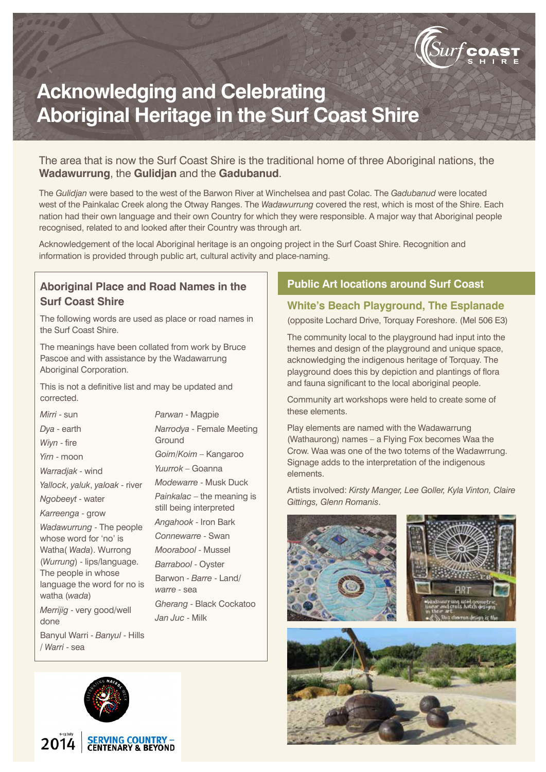

# **Acknowledging and Celebrating Aboriginal Heritage in the Surf Coast Shire**

The area that is now the Surf Coast Shire is the traditional home of three Aboriginal nations, the **Wadawurrung**, the **Gulidjan** and the **Gadubanud**.

The *Gulidjan* were based to the west of the Barwon River at Winchelsea and past Colac. The *Gadubanud* were located west of the Painkalac Creek along the Otway Ranges. The *Wadawurrung* covered the rest, which is most of the Shire. Each nation had their own language and their own Country for which they were responsible. A major way that Aboriginal people recognised, related to and looked after their Country was through art.

Acknowledgement of the local Aboriginal heritage is an ongoing project in the Surf Coast Shire. Recognition and information is provided through public art, cultural activity and place-naming.

# **Aboriginal Place and Road Names in the Surf Coast Shire**

The following words are used as place or road names in the Surf Coast Shire.

The meanings have been collated from work by Bruce Pascoe and with assistance by the Wadawarrung Aboriginal Corporation.

This is not a definitive list and may be updated and corrected.

| <i>Mirri - sun</i>                             | <i>Parwan</i> - Magpie                          |
|------------------------------------------------|-------------------------------------------------|
| Dya - earth                                    | Narrodya - Female Meeting                       |
| Wiyn - fire                                    | Ground                                          |
| <i>Yirn</i> - moon                             | Goim/Koim - Kangaroo                            |
| Warradjak - wind                               | Yuurrok – Goanna                                |
| Yallock, yaluk, yaloak - river                 | Modewarre - Musk Duck                           |
| Ngobeeyt - water                               | <i>Painkalac</i> – the meaning is               |
| Karreenga - grow                               | still being interpreted<br>Angahook - Iron Bark |
| Wadawurrung - The people                       | Connewarre - Swan                               |
| whose word for 'no' is                         |                                                 |
| Watha (Wada). Wurrong                          | Moorabool - Mussel                              |
| (Wurrung) - lips/language.                     | Barrabool - Oyster                              |
| The people in whose                            | Barwon - Barre - Land/                          |
| language the word for no is<br>watha (wada)    | warre - sea                                     |
|                                                | Gherang - Black Cockatoo                        |
| Merrijig - very good/well<br>done              | <i>Jan Juc -</i> Milk                           |
| Banyul Warri - Banyul - Hills<br>/ Warri - sea |                                                 |
|                                                |                                                 |

acknowledging the indigenous heritage of Torquay. The playground does this by depiction and plantings of flora and fauna significant to the local aboriginal people. Community art workshops were held to create some of these elements.

Play elements are named with the Wadawarrung (Wathaurong) names – a Flying Fox becomes Waa the Crow. Waa was one of the two totems of the Wadawrrung. Signage adds to the interpretation of the indigenous elements.

**Public Art locations around Surf Coast**

**White's Beach Playground, The Esplanade**  (opposite Lochard Drive, Torquay Foreshore. (Mel 506 E3) The community local to the playground had input into the themes and design of the playground and unique space,

Artists involved: *Kirsty Manger, Lee Goller, Kyla Vinton, Claire Gittings, Glenn Romanis*.